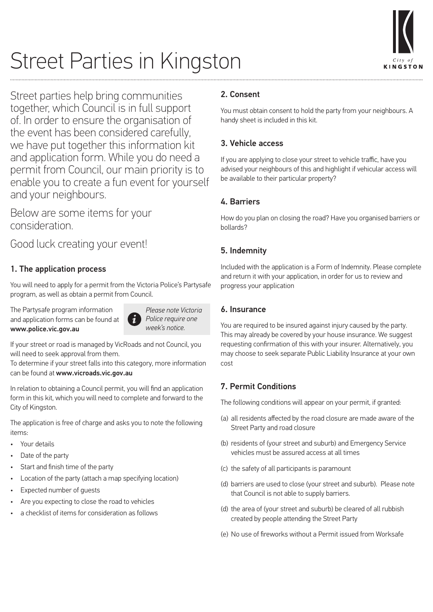

# Street Parties in Kingston

Street parties help bring communities together, which Council is in full support of. In order to ensure the organisation of the event has been considered carefully, we have put together this information kit and application form. While you do need a permit from Council, our main priority is to enable you to create a fun event for yourself and your neighbours.

Below are some items for your consideration.

Good luck creating your event!

# 1. The application process

You will need to apply for a permit from the Victoria Police's Partysafe program, as well as obtain a permit from Council.

The Partysafe program information and application forms can be found at www.police.vic.gov.au



*Please note Victoria Police require one week's notice.*

If your street or road is managed by VicRoads and not Council, you will need to seek approval from them.

To determine if your street falls into this category, more information can be found at www.vicroads.vic.gov.au

In relation to obtaining a Council permit, you will find an application form in this kit, which you will need to complete and forward to the City of Kingston.

The application is free of charge and asks you to note the following items:

- Your details
- Date of the party
- Start and finish time of the party
- Location of the party (attach a map specifying location)
- Expected number of quests
- Are you expecting to close the road to vehicles
- a checklist of items for consideration as follows

# 2. Consent

You must obtain consent to hold the party from your neighbours. A handy sheet is included in this kit.

# 3. Vehicle access

If you are applying to close your street to vehicle traffic, have you advised your neighbours of this and highlight if vehicular access will be available to their particular property?

## 4. Barriers

How do you plan on closing the road? Have you organised barriers or bollards?

# 5. Indemnity

Included with the application is a Form of Indemnity. Please complete and return it with your application, in order for us to review and progress your application

### 6. Insurance

You are required to be insured against injury caused by the party. This may already be covered by your house insurance. We suggest requesting confirmation of this with your insurer. Alternatively, you may choose to seek separate Public Liability Insurance at your own cost

# 7. Permit Conditions

The following conditions will appear on your permit, if granted:

- (a) all residents affected by the road closure are made aware of the Street Party and road closure
- (b) residents of (your street and suburb) and Emergency Service vehicles must be assured access at all times
- (c) the safety of all participants is paramount
- (d) barriers are used to close (your street and suburb). Please note that Council is not able to supply barriers.
- (d) the area of (your street and suburb) be cleared of all rubbish created by people attending the Street Party
- (e) No use of fireworks without a Permit issued from Worksafe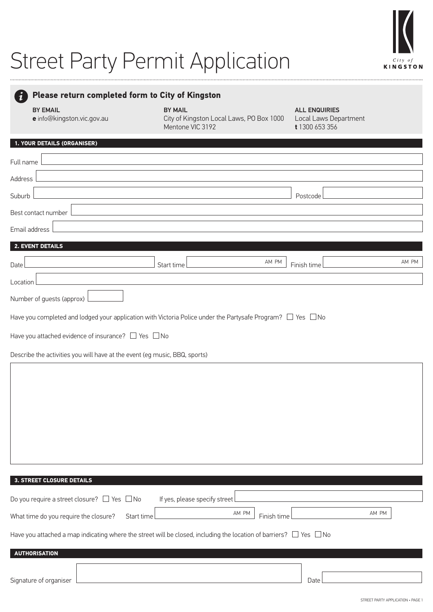# Street Party Permit Application



|  |  |  |  | <b>Please return completed form to City of Kingston</b> |  |  |  |  |
|--|--|--|--|---------------------------------------------------------|--|--|--|--|
|--|--|--|--|---------------------------------------------------------|--|--|--|--|

BY EMAIL

#### BY MAIL

ALL ENQUIRIES

**e** info@kingston.vic.gov.au

City of Kingston Local Laws, PO Box 1000 Mentone VIC 3192

Local Laws Department **t** 1300 653 356

#### **1. YOUR DETAILS (ORGANISER)**

| Full name                                                                                                                    |                               |                      |       |
|------------------------------------------------------------------------------------------------------------------------------|-------------------------------|----------------------|-------|
| Address                                                                                                                      |                               |                      |       |
| Suburb                                                                                                                       |                               | Postcode             |       |
| Best contact number                                                                                                          |                               |                      |       |
| Email address                                                                                                                |                               |                      |       |
| 2. EVENT DETAILS                                                                                                             |                               |                      |       |
| Date                                                                                                                         | Start time                    | AM PM<br>Finish time | AM PM |
| Location                                                                                                                     |                               |                      |       |
| Number of guests (approx)                                                                                                    |                               |                      |       |
| Have you completed and lodged your application with Victoria Police under the Partysafe Program? $\Box$ Yes $\,\Box$ No      |                               |                      |       |
| Have you attached evidence of insurance? $\Box$ Yes $\Box$ No                                                                |                               |                      |       |
| Describe the activities you will have at the event (eg music, BBQ, sports)                                                   |                               |                      |       |
|                                                                                                                              |                               |                      |       |
|                                                                                                                              |                               |                      |       |
|                                                                                                                              |                               |                      |       |
|                                                                                                                              |                               |                      |       |
|                                                                                                                              |                               |                      |       |
|                                                                                                                              |                               |                      |       |
|                                                                                                                              |                               |                      |       |
|                                                                                                                              |                               |                      |       |
| 3. STREET CLOSURE DETAILS                                                                                                    |                               |                      |       |
| Do you require a street closure? $\Box$ Yes $\Box$ No                                                                        | If yes, please specify street |                      |       |
| What time do you require the closure?                                                                                        | Start time                    | AM PM<br>Finish time | AM PM |
| Have you attached a map indicating where the street will be closed, including the location of barriers? $\Box$ Yes $\Box$ No |                               |                      |       |
| <b>AUTHORISATION</b>                                                                                                         |                               |                      |       |
|                                                                                                                              |                               |                      |       |
| Signature of organiser                                                                                                       |                               | Date                 |       |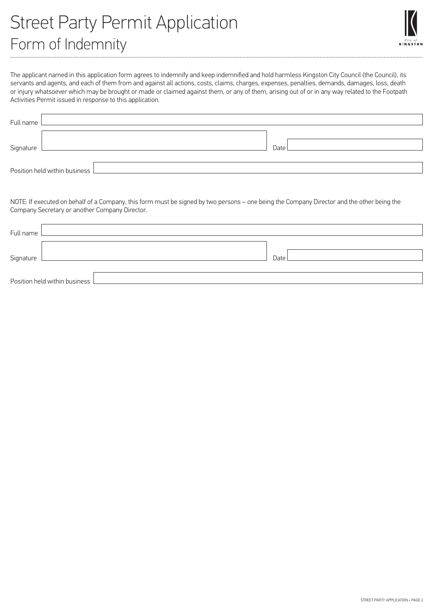

The applicant named in this application form agrees to indemnify and keep indemnified and hold harmless Kingston City Council (the Council), its servants and agents, and each of them from and against all actions, costs, claims, charges, expenses, penalties, demands, damages, loss, death or injury whatsoever which may be brought or made or claimed against them, or any of them, arising out of or in any way related to the Footpath Activities Permit issued in response to this application.

| Full name                       |      |
|---------------------------------|------|
|                                 |      |
| Signature                       | Date |
|                                 |      |
| Position held within business L |      |

NOTE: If executed on behalf of a Company, this form must be signed by two persons – one being the Company Director and the other being the Company Secretary or another Company Director.

| Full name                       |      |
|---------------------------------|------|
|                                 |      |
| Signature                       | Date |
|                                 |      |
| Position held within business L |      |